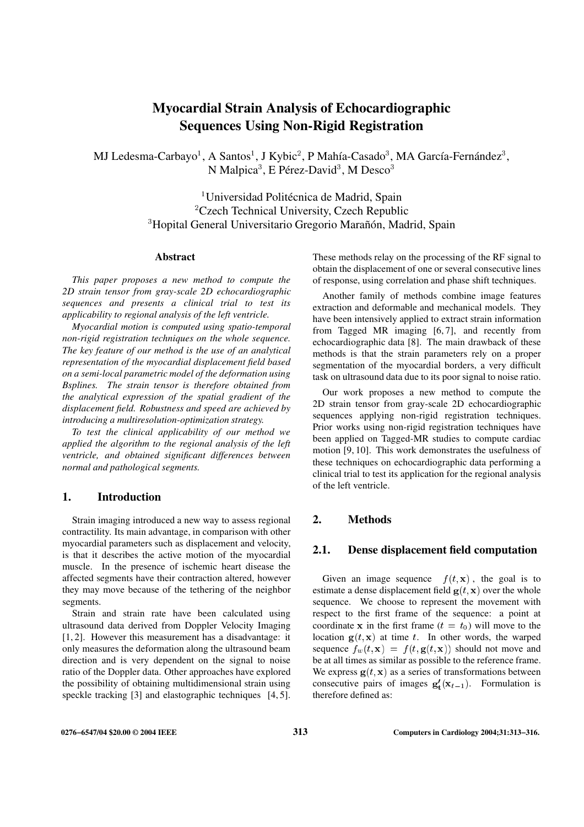# **Myocardial Strain Analysis of Echocardiographic Sequences Using Non-Rigid Registration**

MJ Ledesma-Carbayo<sup>1</sup>, A Santos<sup>1</sup>, J Kybic<sup>2</sup>, P Mahía-Casado<sup>3</sup>, MA García-Fernández<sup>3</sup>, N Malpica $^3$ , E Pérez-David $^3$ , M Desco $^3$ 

> <sup>1</sup> Universidad Politécnica de Madrid, Spain <sup>2</sup> Czech Technical University, Czech Republic <sup>3</sup> Hopital General Universitario Gregorio Marañón, Madrid, Spain

#### **Abstract**

*This paper proposes a new method to compute the 2D strain tensor from gray-scale 2D echocardiographic sequences and presents a clinical trial to test its applicability to regional analysis of the left ventricle.*

*Myocardial motion is computed using spatio-temporal non-rigid registration techniques on the whole sequence. The key feature of our method is the use of an analytical representation of the myocardial displacement field based on a semi-local parametric model of the deformation using Bsplines. The strain tensor is therefore obtained from the analytical expression of the spatial gradient of the displacement field. Robustness and speed are achieved by introducing a multiresolution-optimization strategy.*

*To test the clinical applicability of our method we applied the algorithm to the regional analysis of the left ventricle, and obtained significant differences between normal and pathological segments.*

### **1. Introduction**

Strain imaging introduced a new way to assess regional contractility. Its main advantage, in comparison with other myocardial parameters such as displacement and velocity, is that it describes the active motion of the myocardial muscle. In the presence of ischemic heart disease the affected segments have their contraction altered, however they may move because of the tethering of the neighbor segments.

Strain and strain rate have been calculated using ultrasound data derived from Doppler Velocity Imaging [1, 2]. However this measurement has a disadvantage: it only measures the deformation along the ultrasound beam direction and is very dependent on the signal to noise ratio of the Doppler data. Other approaches have explored the possibility of obtaining multidimensional strain using speckle tracking [3] and elastographic techniques [4, 5]. These methods relay on the processing of the RF signal to obtain the displacement of one or several consecutive lines of response, using correlation and phase shift techniques.

Another family of methods combine image features extraction and deformable and mechanical models. They have been intensively applied to extract strain information from Tagged MR imaging [6, 7], and recently from echocardiographic data [8]. The main drawback of these methods is that the strain parameters rely on a proper segmentation of the myocardial borders, a very difficult task on ultrasound data due to its poor signal to noise ratio.

Our work proposes a new method to compute the 2D strain tensor from gray-scale 2D echocardiographic sequences applying non-rigid registration techniques. Prior works using non-rigid registration techniques have been applied on Tagged-MR studies to compute cardiac motion [9, 10]. This work demonstrates the usefulness of these techniques on echocardiographic data performing a clinical trial to test its application for the regional analysis of the left ventricle.

## **2. Methods**

### **2.1. Dense displacement field computation**

Given an image sequence  $f(t, x)$ , the goal is to estimate a dense displacement field  $g(t, x)$  over the whole sequence. We choose to represent the movement with respect to the first frame of the sequence: a point at coordinate x in the first frame  $(t = t_0)$  will move to the location  $g(t, x)$  at time t. In other words, the warped sequence  $f_w(t, \mathbf{x}) = f(t, \mathbf{g}(t, \mathbf{x}))$  should not move and be at all times as similar as possible to the reference frame. We express  $g(t, x)$  as a series of transformations between consecutive pairs of images  $g'_t(x_{t-1})$ . Formulation is therefore defined as: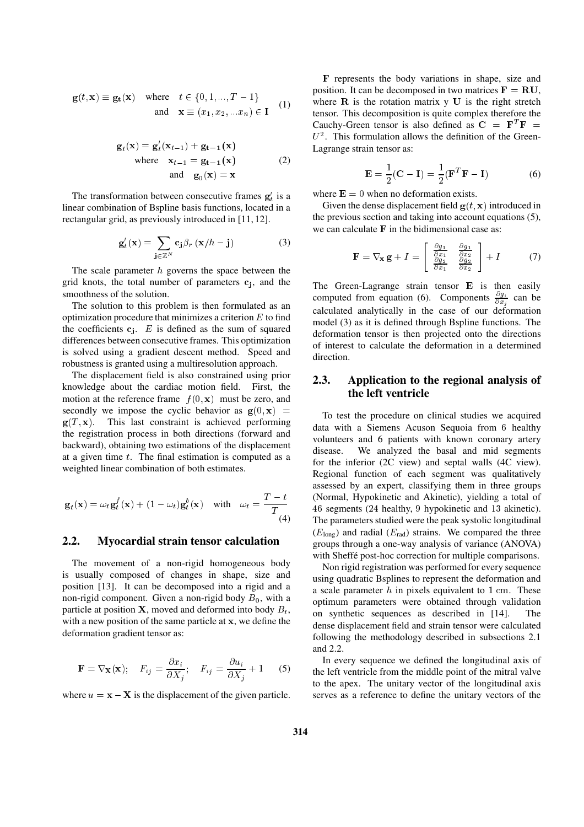$$
\mathbf{g}(t, \mathbf{x}) \equiv \mathbf{g_t}(\mathbf{x}) \quad \text{where} \quad t \in \{0, 1, ..., T - 1\}
$$
  
and 
$$
\mathbf{x} \equiv (x_1, x_2, ..., x_n) \in \mathbf{I} \quad (1)
$$

$$
\mathbf{g}_{t}(\mathbf{x}) = \mathbf{g}_{t}'(\mathbf{x}_{t-1}) + \mathbf{g}_{t-1}(\mathbf{x})
$$
  
where  $\mathbf{x}_{t-1} = \mathbf{g}_{t-1}(\mathbf{x})$  (2)  
and  $\mathbf{g}_{0}(\mathbf{x}) = \mathbf{x}$ 

The transformation between consecutive frames  $g'_t$  is a linear combination of Bspline basis functions, located in a rectangular grid, as previously introduced in [11, 12].

$$
\mathbf{g}'_t(\mathbf{x}) = \sum_{\mathbf{j} \in \mathbb{Z}^N} \mathbf{c}_{\mathbf{j}} \beta_r (\mathbf{x}/h - \mathbf{j}) \tag{3}
$$

The scale parameter  $h$  governs the space between the grid knots, the total number of parameters  $c_j$ , and the smoothness of the solution.

The solution to this problem is then formulated as an optimization procedure that minimizes a criterion  $E$  to find the coefficients  $c_i$ . E is defined as the sum of squared differences between consecutive frames. This optimization is solved using a gradient descent method. Speed and robustness is granted using a multiresolution approach.

The displacement field is also constrained using prior knowledge about the cardiac motion field. First, the motion at the reference frame  $f(0, x)$  must be zero, and secondly we impose the cyclic behavior as  $g(0, x)$  =  $g(T, x)$ . This last constraint is achieved performing the registration process in both directions (forward and backward), obtaining two estimations of the displacement at a given time  $t$ . The final estimation is computed as a weighted linear combination of both estimates.

$$
\mathbf{g}_t(\mathbf{x}) = \omega_t \mathbf{g}_t^f(\mathbf{x}) + (1 - \omega_t) \mathbf{g}_t^b(\mathbf{x}) \quad \text{with} \quad \omega_t = \frac{T - t}{T}
$$

# **2.2. Myocardial strain tensor calculation**

The movement of a non-rigid homogeneous body is usually composed of changes in shape, size and position [13]. It can be decomposed into a rigid and a non-rigid component. Given a non-rigid body  $B_0$ , with a particle at position **X**, moved and deformed into body  $B_t$ , with a new position of the same particle at <sup>x</sup>, we define the deformation gradient tensor as:

$$
\mathbf{F} = \nabla_{\mathbf{X}}(\mathbf{x}); \quad F_{ij} = \frac{\partial x_i}{\partial X_j}; \quad F_{ij} = \frac{\partial u_i}{\partial X_j} + 1 \quad (5)
$$

where  $u = \mathbf{x} - \mathbf{X}$  is the displacement of the given particle.

F represents the body variations in shape, size and position. It can be decomposed in two matrices  $\mathbf{F} = \mathbf{R}\mathbf{U}$ , where  $R$  is the rotation matrix  $y$  U is the right stretch tensor. This decomposition is quite complex therefore the Cauchy-Green tensor is also defined as  $C = F^T F =$  $U^2$ . This formulation allows the definition of the Green-Lagrange strain tensor as:

$$
\mathbf{E} = \frac{1}{2}(\mathbf{C} - \mathbf{I}) = \frac{1}{2}(\mathbf{F}^T \mathbf{F} - \mathbf{I})
$$
 (6)

where  $\mathbf{E} = 0$  when no deformation exists.

Given the dense displacement field  $g(t, x)$  introduced in the previous section and taking into account equations (5), we can calculate  $\bf{F}$  in the bidimensional case as:

$$
\mathbf{F} = \nabla_{\mathbf{x}} \mathbf{g} + I = \begin{bmatrix} \frac{\partial g_1}{\partial x_1} & \frac{\partial g_1}{\partial x_2} \\ \frac{\partial g_2}{\partial x_1} & \frac{\partial g_2}{\partial x_2} \end{bmatrix} + I \tag{7}
$$

The Green-Lagrange strain tensor E is then easily computed from equation (6). Components  $\frac{\partial g_i}{\partial x_i}$  can be calculated analytically in the case of our deformation model (3) as it is defined through Bspline functions. The deformation tensor is then projected onto the directions of interest to calculate the deformation in a determined direction.

# **2.3. Application to the regional analysis of the left ventricle**

To test the procedure on clinical studies we acquired data with a Siemens Acuson Sequoia from <sup>6</sup> healthy volunteers and 6 patients with known coronary artery disease. We analyzed the basal and mid segments for the inferior (2C view) and septal walls (4C view). Regional function of each segment was qualitatively assessed by an expert, classifying them in three groups (Normal, Hypokinetic and Akinetic), yielding a total of <sup>46</sup> segments (<sup>24</sup> healthy, <sup>9</sup> hypokinetic and <sup>13</sup> akinetic). The parameters studied were the peak systolic longitudinal  $(E_{\text{long}})$  and radial  $(E_{\text{rad}})$  strains. We compared the three groups through a one-way analysis of variance (ANOVA) with Sheffé post-hoc correction for multiple comparisons.

Non rigid registration was performed for every sequence using quadratic Bsplines to represent the deformation and a scale parameter  $h$  in pixels equivalent to 1 cm. These optimum parameters were obtained through validation on synthetic sequences as described in [14]. The dense displacement field and strain tensor were calculated following the methodology described in subsections 2.1 and 2.2.

In every sequence we defined the longitudinal axis of the left ventricle from the middle point of the mitral valve to the apex. The unitary vector of the longitudinal axis serves as a reference to define the unitary vectors of the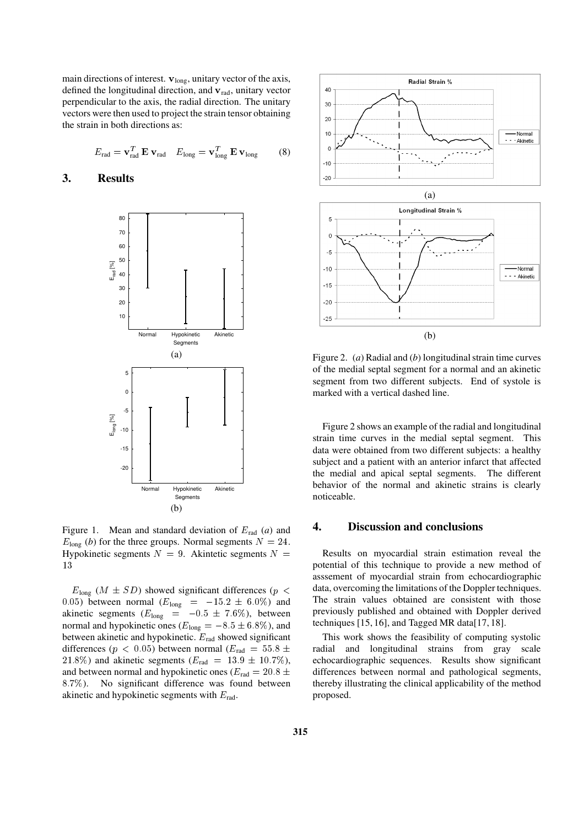main directions of interest.  $v_{long}$ , unitary vector of the axis, defined the longitudinal direction, and  $v_{rad}$ , unitary vector perpendicular to the axis, the radial direction. The unitary vectors were then used to project the strain tensor obtaining the strain in both directions as:

$$
E_{\text{rad}} = \mathbf{v}_{\text{rad}}^T \mathbf{E} \mathbf{v}_{\text{rad}} \quad E_{\text{long}} = \mathbf{v}_{\text{long}}^T \mathbf{E} \mathbf{v}_{\text{long}} \tag{8}
$$

# **3. Results**



Figure 1. Mean and standard deviation of  $E_{rad}$  (*a*) and  $E_{\text{long}}$  (*b*) for the three groups. Normal segments  $N = 24$ . Hypokinetic segments  $N = 9$ . Akintetic segments  $N =$  $1.3$ 

 $E_{\text{long}}$  ( $M \pm SD$ ) showed significant differences ( $p <$ 0.05) between normal  $(E_{\text{long}} = -15.2 \pm 6.0\%)$  and akinetic segments ( $E_{\rm long}$  =  $-0.5~\pm~7.6\%$ ), between normal and hypokinetic ones ( $E_{long} = -8.5 \pm 6.8\%$ ), and between akinetic and hypokinetic.  $E_{rad}$  showed significant differences ( $p < 0.05$ ) between normal ( $E_{rad} = 55.8 \pm 1$ 21.8%) and akinetic segments  $(E_{rad} = 13.9 \pm 10.7\%)$ , and between normal and hypokinetic ones ( $E_{rad} = 20.8 \pm$ 8:7%). No significant difference was found between akinetic and hypokinetic segments with  $E_{\text{rad}}$ .



(b)

Figure 2. (*a*) Radial and (*b*) longitudinal strain time curves of the medial septal segment for a normal and an akinetic segment from two different subjects. End of systole is marked with a vertical dashed line.

Figure 2 shows an example of the radial and longitudinal strain time curves in the medial septal segment. This data were obtained from two different subjects: a healthy subject and a patient with an anterior infarct that affected the medial and apical septal segments. The different behavior of the normal and akinetic strains is clearly noticeable.

#### **4. Discussion and conclusions**

Results on myocardial strain estimation reveal the potential of this technique to provide a new method of asssement of myocardial strain from echocardiographic data, overcoming the limitations of the Doppler techniques. The strain values obtained are consistent with those previously published and obtained with Doppler derived techniques  $[15, 16]$ , and Tagged MR data $[17, 18]$ .

This work shows the feasibility of computing systolic radial and longitudinal strains from gray scale echocardiographic sequences. Results show significant differences between normal and pathological segments, thereby illustrating the clinical applicability of the method proposed.